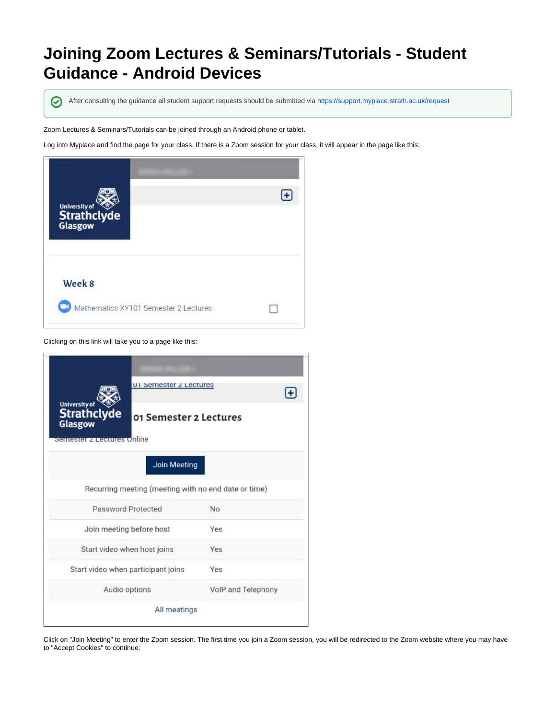## **Joining Zoom Lectures & Seminars/Tutorials - Student Guidance - Android Devices**

⊘

After consulting the guidance all student support requests should be submitted via <https://support.myplace.strath.ac.uk/request>

Zoom Lectures & Seminars/Tutorials can be joined through an Android phone or tablet.

Log into Myplace and find the page for your class. If there is a Zoom session for your class, it will appear in the page like this:



Clicking on this link will take you to a page like this:

|                                                       | UI Semester Z Lectures   |                    |  |  |  |
|-------------------------------------------------------|--------------------------|--------------------|--|--|--|
| <b>University of</b><br><b>Strathclyde</b><br>Glasgow | 01 Semester 2 Lectures   |                    |  |  |  |
| semester z Lectures Unline                            |                          |                    |  |  |  |
| Join Meeting                                          |                          |                    |  |  |  |
| Recurring meeting (meeting with no end date or time)  |                          |                    |  |  |  |
| Password Protected                                    |                          | No                 |  |  |  |
|                                                       | Join meeting before host |                    |  |  |  |
| Start video when host joins                           |                          | Yes                |  |  |  |
| Start video when participant joins                    |                          | Yes                |  |  |  |
| Audio options                                         |                          | VolP and Telephony |  |  |  |
| All meetings                                          |                          |                    |  |  |  |
|                                                       |                          |                    |  |  |  |

Click on "Join Meeting" to enter the Zoom session. The first time you join a Zoom session, you will be redirected to the Zoom website where you may have to "Accept Cookies" to continue: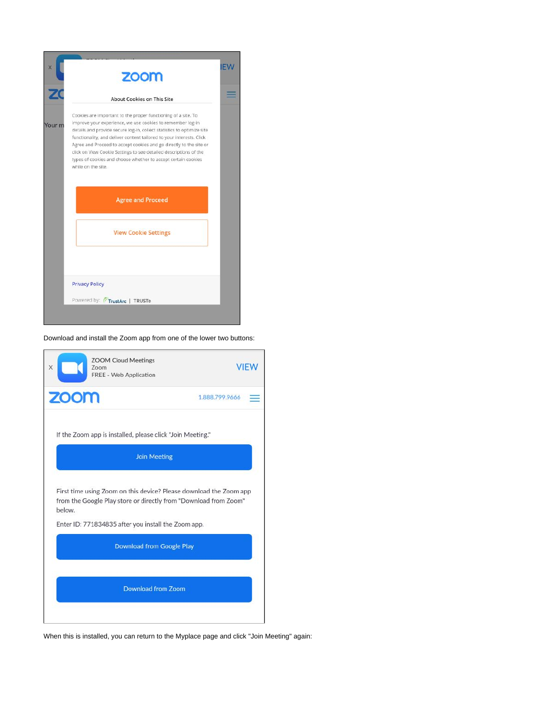

Download and install the Zoom app from one of the lower two buttons:



When this is installed, you can return to the Myplace page and click "Join Meeting" again: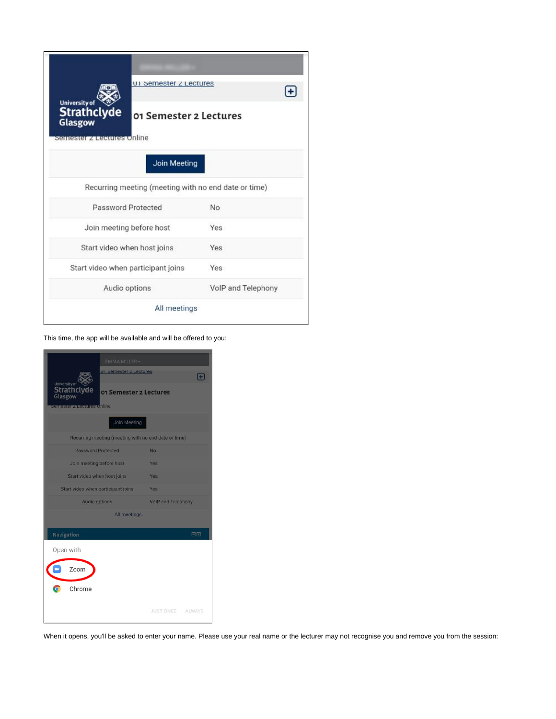|                                                       | UI Semester Z Lectures             |                    |  |  |  |  |
|-------------------------------------------------------|------------------------------------|--------------------|--|--|--|--|
| <b>University of</b><br><b>Strathclyde</b><br>Glasgow | 01 Semester 2 Lectures             |                    |  |  |  |  |
| stantasta <b>szer</b> acomas on inte                  |                                    |                    |  |  |  |  |
| Join Meeting                                          |                                    |                    |  |  |  |  |
| Recurring meeting (meeting with no end date or time)  |                                    |                    |  |  |  |  |
| Password Protected                                    |                                    | No                 |  |  |  |  |
|                                                       | Join meeting before host           |                    |  |  |  |  |
|                                                       | Start video when host joins        | Yes                |  |  |  |  |
|                                                       | Start video when participant joins |                    |  |  |  |  |
|                                                       | Audio options                      | VolP and Telephony |  |  |  |  |
| All meetings                                          |                                    |                    |  |  |  |  |

This time, the app will be available and will be offered to you:

| EMMA MILLER-                                                                                                                 |                           |  |  |  |  |
|------------------------------------------------------------------------------------------------------------------------------|---------------------------|--|--|--|--|
| UI Semester Z Lectures                                                                                                       | m                         |  |  |  |  |
| University of<br><b>Strathclyde</b><br>01 Semester 2 Lectures<br>Glasgow<br><u>stem telester gyarateteit i geleg uhlimet</u> |                           |  |  |  |  |
| Join Meeting                                                                                                                 |                           |  |  |  |  |
| Recurring meeting (meeting with no end date or time)                                                                         |                           |  |  |  |  |
| Password Protected                                                                                                           | No                        |  |  |  |  |
| Join meeting before host                                                                                                     | Yes                       |  |  |  |  |
| Start video when host joins                                                                                                  | Yes                       |  |  |  |  |
| Start video when participant joins                                                                                           | Yes                       |  |  |  |  |
| <b>Audio options</b>                                                                                                         | <b>VolP and Telephony</b> |  |  |  |  |
| All meetings                                                                                                                 |                           |  |  |  |  |
| Navigation                                                                                                                   | 日回                        |  |  |  |  |
| Open with                                                                                                                    |                           |  |  |  |  |
|                                                                                                                              |                           |  |  |  |  |
| Zoom                                                                                                                         |                           |  |  |  |  |
| Chrome<br>ō                                                                                                                  |                           |  |  |  |  |
|                                                                                                                              |                           |  |  |  |  |
|                                                                                                                              | JUST ONCE ALWAYS          |  |  |  |  |
|                                                                                                                              |                           |  |  |  |  |

When it opens, you'll be asked to enter your name. Please use your real name or the lecturer may not recognise you and remove you from the session: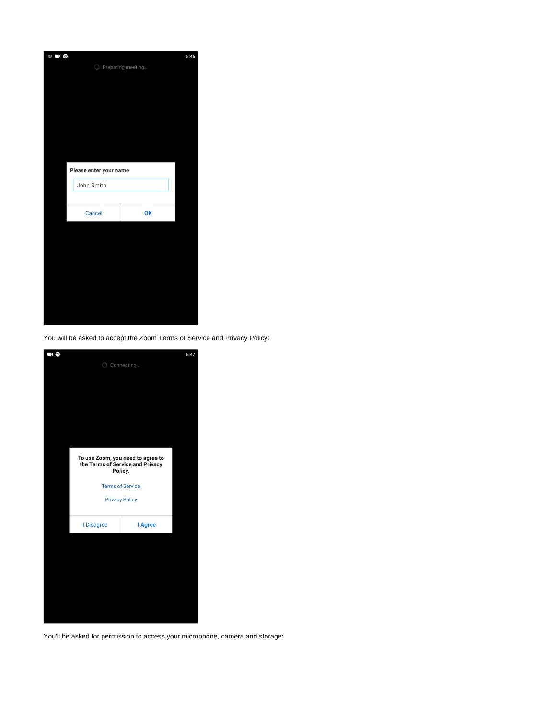| <b>SIGN 0</b> |                        |                     | 5:46 |
|---------------|------------------------|---------------------|------|
|               |                        | O Preparing meeting |      |
|               |                        |                     |      |
|               |                        |                     |      |
|               |                        |                     |      |
|               |                        |                     |      |
|               |                        |                     |      |
|               |                        |                     |      |
|               |                        |                     |      |
|               |                        |                     |      |
|               | Please enter your name |                     |      |
|               |                        |                     |      |
|               | John Smith             |                     |      |
|               |                        |                     |      |
|               | Cancel                 | OK                  |      |
|               |                        |                     |      |
|               |                        |                     |      |
|               |                        |                     |      |
|               |                        |                     |      |
|               |                        |                     |      |
|               |                        |                     |      |
|               |                        |                     |      |
|               |                        |                     |      |
|               |                        |                     |      |
|               |                        |                     |      |

You will be asked to accept the Zoom Terms of Service and Privacy Policy:



You'll be asked for permission to access your microphone, camera and storage: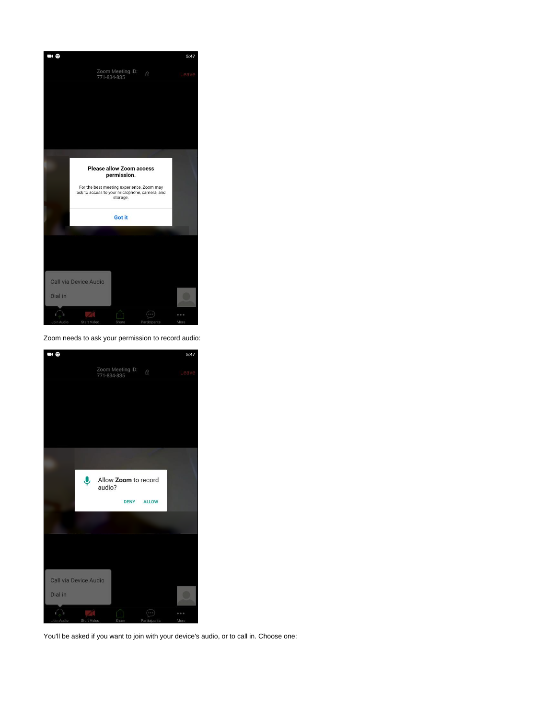

Zoom needs to ask your permission to record audio:



You'll be asked if you want to join with your device's audio, or to call in. Choose one: